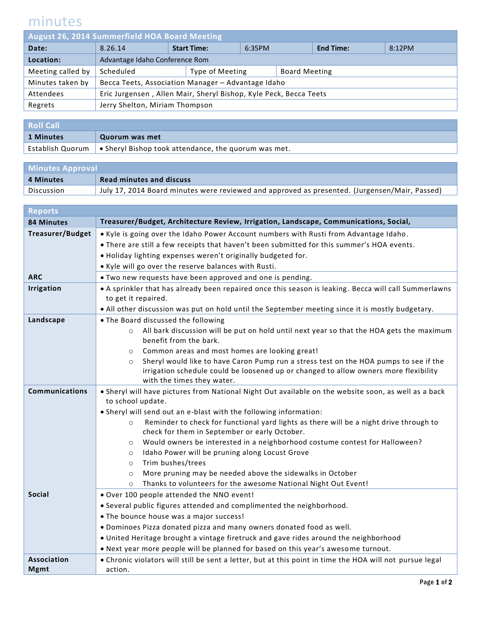## minutes

| <b>August 26, 2014 Summerfield HOA Board Meeting</b> |                                                                   |                    |                 |        |                      |                  |        |  |
|------------------------------------------------------|-------------------------------------------------------------------|--------------------|-----------------|--------|----------------------|------------------|--------|--|
| Date:                                                | 8.26.14                                                           | <b>Start Time:</b> |                 | 6:35PM |                      | <b>End Time:</b> | 8:12PM |  |
| Location:                                            | Advantage Idaho Conference Rom                                    |                    |                 |        |                      |                  |        |  |
| Meeting called by                                    | Scheduled                                                         |                    | Type of Meeting |        | <b>Board Meeting</b> |                  |        |  |
| Minutes taken by                                     | Becca Teets, Association Manager - Advantage Idaho                |                    |                 |        |                      |                  |        |  |
| Attendees                                            | Eric Jurgensen, Allen Mair, Sheryl Bishop, Kyle Peck, Becca Teets |                    |                 |        |                      |                  |        |  |
| Regrets                                              | Jerry Shelton, Miriam Thompson                                    |                    |                 |        |                      |                  |        |  |
|                                                      |                                                                   |                    |                 |        |                      |                  |        |  |

| <b>Roll Call</b> |                                                                               |  |
|------------------|-------------------------------------------------------------------------------|--|
| 1 Minutes        | Quorum was met                                                                |  |
|                  | Establish Quorum $\bullet$ Sheryl Bishop took attendance, the quorum was met. |  |

| <b>Minutes Approval</b> |                                                                                               |  |
|-------------------------|-----------------------------------------------------------------------------------------------|--|
| 4 Minutes               | <b>Read minutes and discuss</b>                                                               |  |
| Discussion              | July 17, 2014 Board minutes were reviewed and approved as presented. (Jurgensen/Mair, Passed) |  |

| <b>Reports</b>          |                                                                                                                               |
|-------------------------|-------------------------------------------------------------------------------------------------------------------------------|
| <b>84 Minutes</b>       | Treasurer/Budget, Architecture Review, Irrigation, Landscape, Communications, Social,                                         |
| <b>Treasurer/Budget</b> | . Kyle is going over the Idaho Power Account numbers with Rusti from Advantage Idaho.                                         |
|                         | . There are still a few receipts that haven't been submitted for this summer's HOA events.                                    |
|                         | . Holiday lighting expenses weren't originally budgeted for.                                                                  |
|                         | . Kyle will go over the reserve balances with Rusti.                                                                          |
| <b>ARC</b>              | . Two new requests have been approved and one is pending.                                                                     |
| <b>Irrigation</b>       | • A sprinkler that has already been repaired once this season is leaking. Becca will call Summerlawns                         |
|                         | to get it repaired.                                                                                                           |
|                         | . All other discussion was put on hold until the September meeting since it is mostly budgetary.                              |
| Landscape               | • The Board discussed the following                                                                                           |
|                         | All bark discussion will be put on hold until next year so that the HOA gets the maximum<br>$\circ$<br>benefit from the bark. |
|                         | Common areas and most homes are looking great!<br>$\circ$                                                                     |
|                         | Sheryl would like to have Caron Pump run a stress test on the HOA pumps to see if the<br>$\circ$                              |
|                         | irrigation schedule could be loosened up or changed to allow owners more flexibility<br>with the times they water.            |
| <b>Communications</b>   | . Sheryl will have pictures from National Night Out available on the website soon, as well as a back                          |
|                         | to school update.                                                                                                             |
|                         | . Sheryl will send out an e-blast with the following information:                                                             |
|                         | Reminder to check for functional yard lights as there will be a night drive through to<br>$\circ$                             |
|                         | check for them in September or early October.                                                                                 |
|                         | Would owners be interested in a neighborhood costume contest for Halloween?<br>$\circ$                                        |
|                         | Idaho Power will be pruning along Locust Grove<br>$\circ$                                                                     |
|                         | Trim bushes/trees<br>$\circ$                                                                                                  |
|                         | More pruning may be needed above the sidewalks in October<br>$\circ$                                                          |
|                         | Thanks to volunteers for the awesome National Night Out Event!<br>$\circ$                                                     |
| <b>Social</b>           | . Over 100 people attended the NNO event!                                                                                     |
|                         | • Several public figures attended and complimented the neighborhood.                                                          |
|                         | • The bounce house was a major success!                                                                                       |
|                         | . Dominoes Pizza donated pizza and many owners donated food as well.                                                          |
|                         | . United Heritage brought a vintage firetruck and gave rides around the neighborhood                                          |
|                         | . Next year more people will be planned for based on this year's awesome turnout.                                             |
| <b>Association</b>      | . Chronic violators will still be sent a letter, but at this point in time the HOA will not pursue legal                      |
| <b>Mgmt</b>             | action.                                                                                                                       |